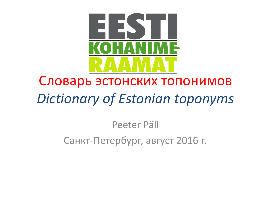

# Словарь эстонских топонимов*Dictionary of Estonian toponyms*

#### Peeter PällСанкт-Петербург, август 2016 г.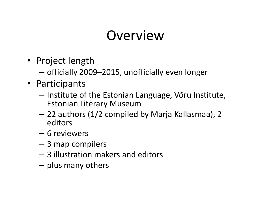### **Overview**

- Project length
	- $-$  officially 2009–2015, unofficially even longer
- Participants
	- –- Institute of the Estonian Language, Võru Institute, Estonian Literary Museum
	- $-$  // 30 Thack (11// campular 22 authors (1/2 compiled by Marja Kallasmaa), 2 editors
	- – $-$  6 reviewers
	- 3 map compilers
	- –3 illustration makers and editors
	- $-$  plus many others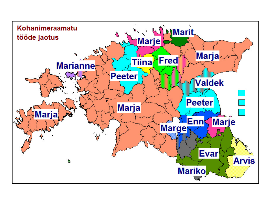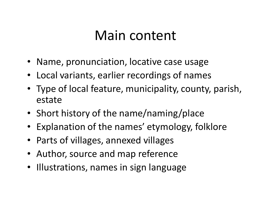#### Main content

- Name, pronunciation, locative case usage
- Local variants, earlier recordings of names
- Type of local feature, municipality, county, parish, estate
- Short history of the name/naming/place
- Explanation of the names' etymology, folklore
- Parts of villages, annexed villages
- Author, source and map reference
- Illustrations, names in sign language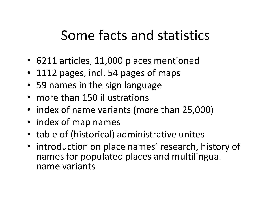### Some facts and statistics

- 6211 articles, 11,000 places mentioned
- 1112 pages, incl. 54 pages of maps
- 59 names in the sign language
- more than 150 illustrations
- index of name variants (more than 25,000)
- index of map names
- table of (historical) administrative unites
- introduction on place names' research, history of names for populated places and multilingual name variants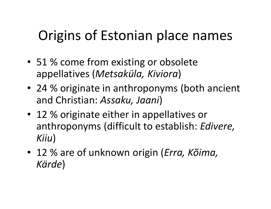# Origins of Estonian place names

- 51 % come from existing or obsolete appellatives (*Metsaküla, Kiviora*)
- 24 % originate in anthroponyms (both ancient and Christian: *Assaku, Jaani*)
- 12 % originate either in appellatives or anthroponyms (difficult to establish: *Edivere, Kiiu*)
- 12 % are of unknown origin (*Erra, Kõima, Kärde*)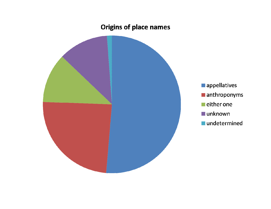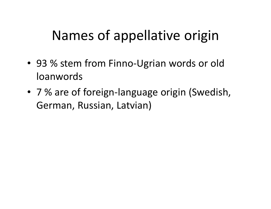### Names of appellative origin

- 93 % stem from Finno-Ugrian words or old loanwords
- 7 % are of foreign-language origin (Swedish, German, Russian, Latvian)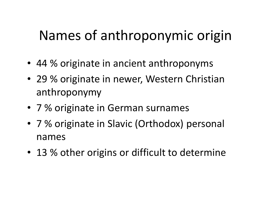## Names of anthroponymic origin

- 44 % originate in ancient anthroponyms
- 29 % originate in newer, Western Christian anthroponymy
- 7 % originate in German surnames
- 7 % originate in Slavic (Orthodox) personal names
- 13 % other origins or difficult to determine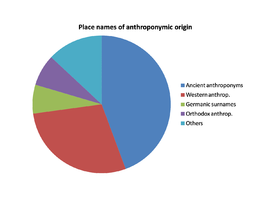